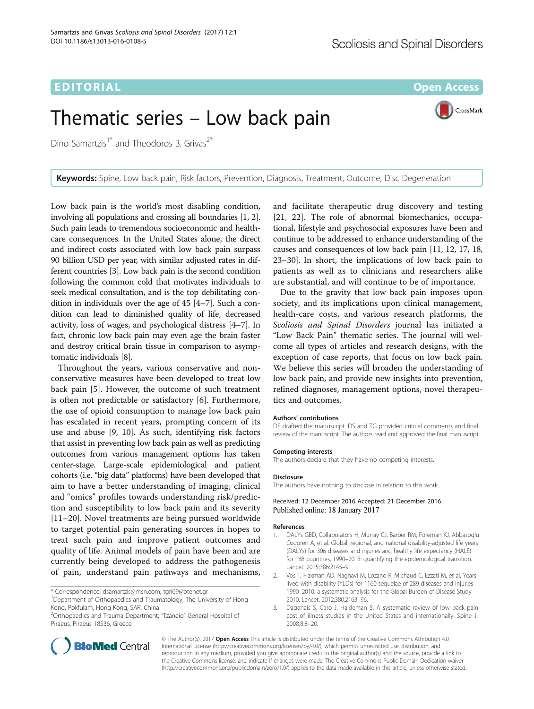EDITORIAL AND INTERNATIONAL CONTRACT CONTRACT CONTRACT CONTRACT CONTRACT CONTRACT CONTRACT CONTRACT CONTRACT CO

CrossMark

# Thematic series – Low back pain

Dino Samartzis<sup>1\*</sup> and Theodoros B. Grivas<sup>2\*</sup>

Keywords: Spine, Low back pain, Risk factors, Prevention, Diagnosis, Treatment, Outcome, Disc Degeneration

Low back pain is the world's most disabling condition, involving all populations and crossing all boundaries [1, 2]. Such pain leads to tremendous socioeconomic and healthcare consequences. In the United States alone, the direct and indirect costs associated with low back pain surpass 90 billion USD per year, with similar adjusted rates in different countries [3]. Low back pain is the second condition following the common cold that motivates individuals to seek medical consultation, and is the top debilitating condition in individuals over the age of 45 [[4](#page-1-0)–[7](#page-1-0)]. Such a condition can lead to diminished quality of life, decreased activity, loss of wages, and psychological distress [\[4](#page-1-0)–[7\]](#page-1-0). In fact, chronic low back pain may even age the brain faster and destroy critical brain tissue in comparison to asymptomatic individuals [\[8\]](#page-1-0).

Throughout the years, various conservative and nonconservative measures have been developed to treat low back pain [[5\]](#page-1-0). However, the outcome of such treatment is often not predictable or satisfactory [\[6](#page-1-0)]. Furthermore, the use of opioid consumption to manage low back pain has escalated in recent years, prompting concern of its use and abuse [[9](#page-1-0), [10\]](#page-1-0). As such, identifying risk factors that assist in preventing low back pain as well as predicting outcomes from various management options has taken center-stage. Large-scale epidemiological and patient cohorts (i.e. "big data" platforms) have been developed that aim to have a better understanding of imaging, clinical and "omics" profiles towards understanding risk/prediction and susceptibility to low back pain and its severity [[11](#page-1-0)–[20\]](#page-1-0). Novel treatments are being pursued worldwide to target potential pain generating sources in hopes to treat such pain and improve patient outcomes and quality of life. Animal models of pain have been and are currently being developed to address the pathogenesis of pain, understand pain pathways and mechanisms,

2 Orthopaedics and Trauma Department, "Tzaneio" General Hospital of Piraeus, Piraeus 18536, Greece



Due to the gravity that low back pain imposes upon society, and its implications upon clinical management, health-care costs, and various research platforms, the Scoliosis and Spinal Disorders journal has initiated a "Low Back Pain" thematic series. The journal will welcome all types of articles and research designs, with the exception of case reports, that focus on low back pain. We believe this series will broaden the understanding of low back pain, and provide new insights into prevention, refined diagnoses, management options, novel therapeutics and outcomes.

#### Authors' contributions

DS drafted the manuscript. DS and TG provided critical comments and final review of the manuscript. The authors read and approved the final manuscript.

#### Competing interests

The authors declare that they have no competing interests.

#### Disclosure

The authors have nothing to disclose in relation to this work.

### Received: 12 December 2016 Accepted: 21 December 2016 Published online: 18 January 2017

#### References

- 1. DALYs GBD, Collaborators H, Murray CJ, Barber RM, Foreman KJ, Abbasoglu Ozgoren A, et al. Global, regional, and national disability-adjusted life years (DALYs) for 306 diseases and injuries and healthy life expectancy (HALE) for 188 countries, 1990–2013: quantifying the epidemiological transition. Lancet. 2015;386:2145–91.
- 2. Vos T, Flaxman AD, Naghavi M, Lozano R, Michaud C, Ezzati M, et al. Years lived with disability (YLDs) for 1160 sequelae of 289 diseases and injuries 1990–2010: a systematic analysis for the Global Burden of Disease Study 2010. Lancet. 2012;380:2163–96.
- 3. Dagenais S, Caro J, Haldeman S. A systematic review of low back pain cost of illness studies in the United States and internationally. Spine J. 2008;8:8–20.





<sup>\*</sup> Correspondence: [dsamartzis@msn.com;](mailto:dsamartzis@msn.com) [tgri69@otenet.gr](mailto:tgri69@otenet.gr) <sup>1</sup>

<sup>&</sup>lt;sup>1</sup>Department of Orthopaedics and Traumatology, The University of Hong Kong, Pokfulam, Hong Kong, SAR, China